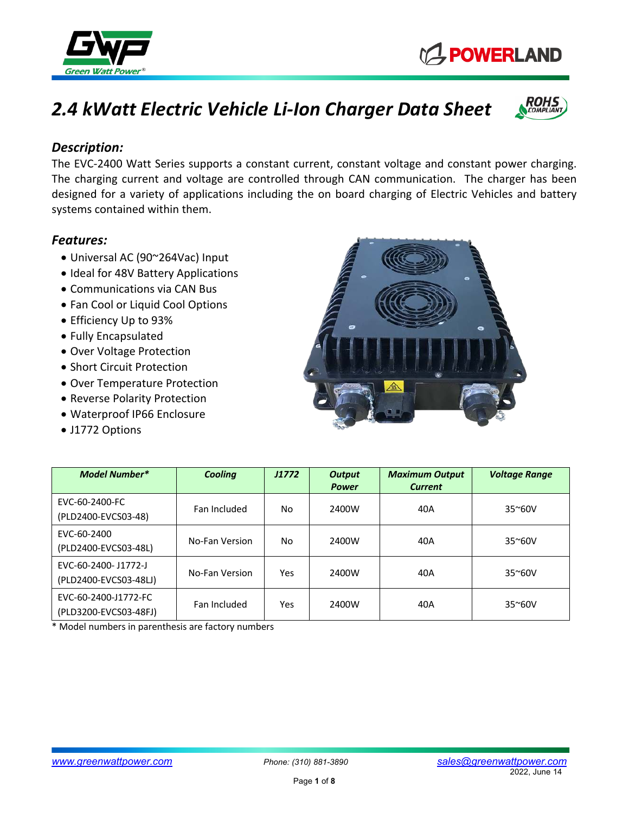

*Description:*

- Universal AC (90~264Vac) Input
- Ideal for 48V Battery Applications
- Communications via CAN Bus
- Fan Cool or Liquid Cool Options
- Efficiency Up to 93%
- Fully Encapsulated
- Over Voltage Protection
- Short Circuit Protection
- Over Temperature Protection
- Reverse Polarity Protection
- Waterproof IP66 Enclosure
- J1772 Options



\* Model numbers in parenthesis are factory numbers



The EVC-2400 Watt Series supports a constant current, constant voltage and constant power charging. The charging current and voltage are controlled through CAN communication. The charger has been designed for a variety of applications including the on board charging of Electric Vehicles and battery





**C\_POWERLAND**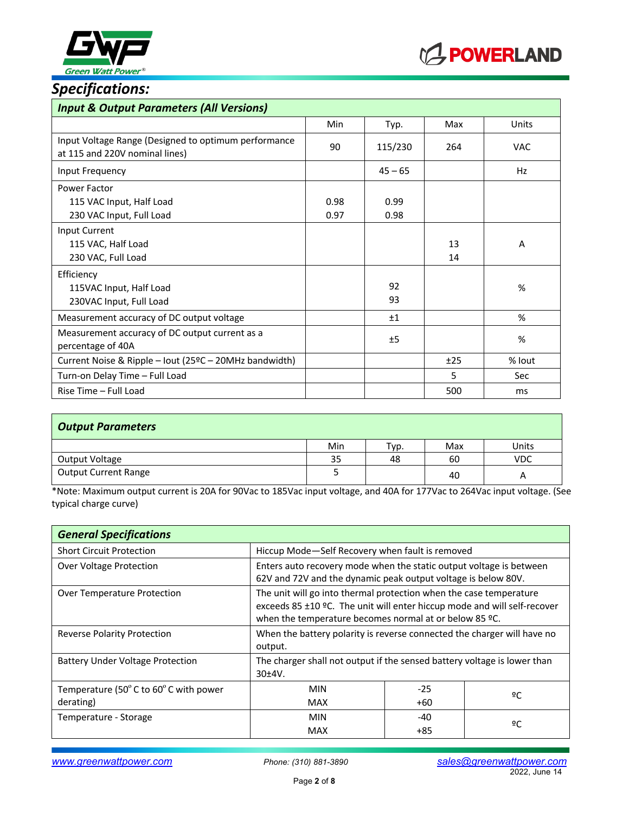



# *Specifications:*

| <b>Input &amp; Output Parameters (All Versions)</b>                                    |              |              |          |               |
|----------------------------------------------------------------------------------------|--------------|--------------|----------|---------------|
|                                                                                        | Min          | Typ.         | Max      | Units         |
| Input Voltage Range (Designed to optimum performance<br>at 115 and 220V nominal lines) | 90           | 115/230      | 264      | <b>VAC</b>    |
| Input Frequency                                                                        |              | $45 - 65$    |          | Hz            |
| Power Factor<br>115 VAC Input, Half Load<br>230 VAC Input, Full Load                   | 0.98<br>0.97 | 0.99<br>0.98 |          |               |
| Input Current<br>115 VAC, Half Load<br>230 VAC, Full Load                              |              |              | 13<br>14 | A             |
| Efficiency<br>115VAC Input, Half Load<br>230VAC Input, Full Load                       |              | 92<br>93     |          | %             |
| Measurement accuracy of DC output voltage                                              |              | ±1           |          | $\frac{9}{6}$ |
| Measurement accuracy of DC output current as a<br>percentage of 40A                    |              | ±5           |          | %             |
| Current Noise & Ripple - lout (25ºC - 20MHz bandwidth)                                 |              |              | ±25      | % lout        |
| Turn-on Delay Time - Full Load                                                         |              |              | 5        | Sec           |
| Rise Time - Full Load                                                                  |              |              | 500      | ms            |

| <b>Output Parameters</b>    |     |      |     |            |
|-----------------------------|-----|------|-----|------------|
|                             | Min | Typ. | Max | Units      |
| Output Voltage              | 35  | 48   | 60  | <b>VDC</b> |
| <b>Output Current Range</b> |     |      | 40  | A          |

\*Note: Maximum output current is 20A for 90Vac to 185Vac input voltage, and 40A for 177Vac to 264Vac input voltage. (See typical charge curve)

| <b>General Specifications</b>           |                                                                                                                                                                                                          |       |    |
|-----------------------------------------|----------------------------------------------------------------------------------------------------------------------------------------------------------------------------------------------------------|-------|----|
| <b>Short Circuit Protection</b>         | Hiccup Mode-Self Recovery when fault is removed                                                                                                                                                          |       |    |
| <b>Over Voltage Protection</b>          | Enters auto recovery mode when the static output voltage is between<br>62V and 72V and the dynamic peak output voltage is below 80V.                                                                     |       |    |
| Over Temperature Protection             | The unit will go into thermal protection when the case temperature<br>exceeds 85 ±10 °C. The unit will enter hiccup mode and will self-recover<br>when the temperature becomes normal at or below 85 °C. |       |    |
| <b>Reverse Polarity Protection</b>      | When the battery polarity is reverse connected the charger will have no<br>output.                                                                                                                       |       |    |
| <b>Battery Under Voltage Protection</b> | The charger shall not output if the sensed battery voltage is lower than<br>30±4V.                                                                                                                       |       |    |
| Temperature (50°C to 60°C with power    | <b>MIN</b>                                                                                                                                                                                               | $-25$ | 2C |
| derating)                               | <b>MAX</b>                                                                                                                                                                                               | +60   |    |
| Temperature - Storage                   | <b>MIN</b>                                                                                                                                                                                               | $-40$ | ºC |
|                                         | <b>MAX</b>                                                                                                                                                                                               | +85   |    |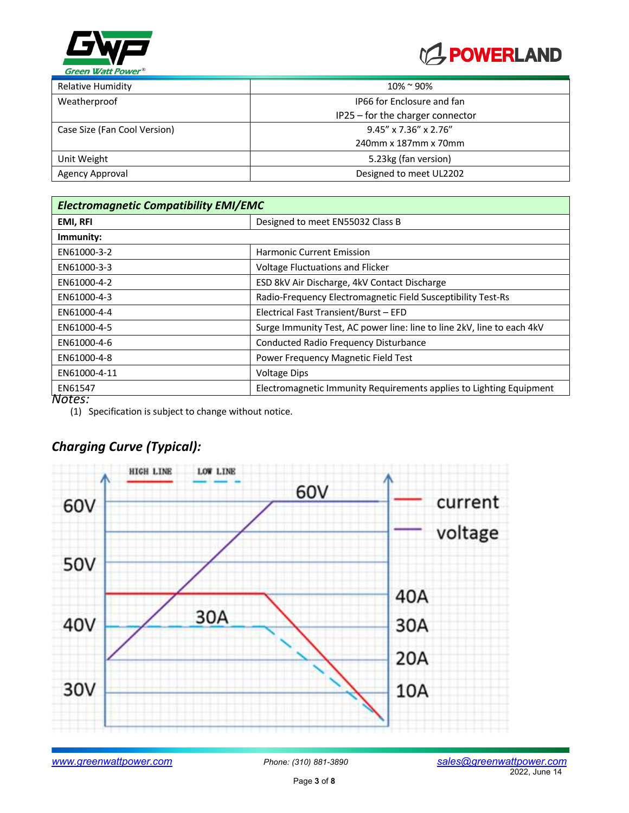



| $10\% \approx 90\%$              |
|----------------------------------|
| IP66 for Enclosure and fan       |
| IP25 - for the charger connector |
| $9.45''$ x 7.36" x 2.76"         |
| 240mm x 187mm x 70mm             |
| 5.23kg (fan version)             |
| Designed to meet UL2202          |
|                                  |

| <b>Electromagnetic Compatibility EMI/EMC</b> |                                                                        |  |
|----------------------------------------------|------------------------------------------------------------------------|--|
| <b>EMI, RFI</b>                              | Designed to meet EN55032 Class B                                       |  |
| Immunity:                                    |                                                                        |  |
| EN61000-3-2                                  | <b>Harmonic Current Emission</b>                                       |  |
| EN61000-3-3                                  | Voltage Fluctuations and Flicker                                       |  |
| EN61000-4-2                                  | ESD 8kV Air Discharge, 4kV Contact Discharge                           |  |
| EN61000-4-3                                  | Radio-Frequency Electromagnetic Field Susceptibility Test-Rs           |  |
| EN61000-4-4                                  | Electrical Fast Transient/Burst - EFD                                  |  |
| EN61000-4-5                                  | Surge Immunity Test, AC power line: line to line 2kV, line to each 4kV |  |
| EN61000-4-6                                  | Conducted Radio Frequency Disturbance                                  |  |
| EN61000-4-8                                  | Power Frequency Magnetic Field Test                                    |  |
| EN61000-4-11                                 | <b>Voltage Dips</b>                                                    |  |
| EN61547                                      | Electromagnetic Immunity Requirements applies to Lighting Equipment    |  |
| Notes:                                       |                                                                        |  |

(1) Specification is subject to change without notice.

# *Charging Curve (Typical):*

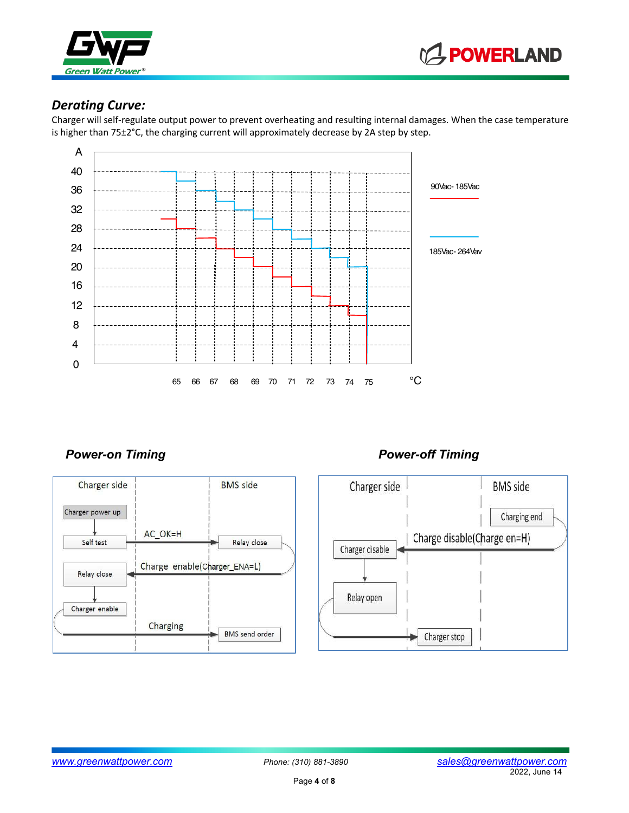



#### *Derating Curve:*

Charger will self-regulate output power to prevent overheating and resulting internal damages. When the case temperature is higher than 75±2°C, the charging current will approximately decrease by 2A step by step.



#### Power-on Timing **Power-off Timing**



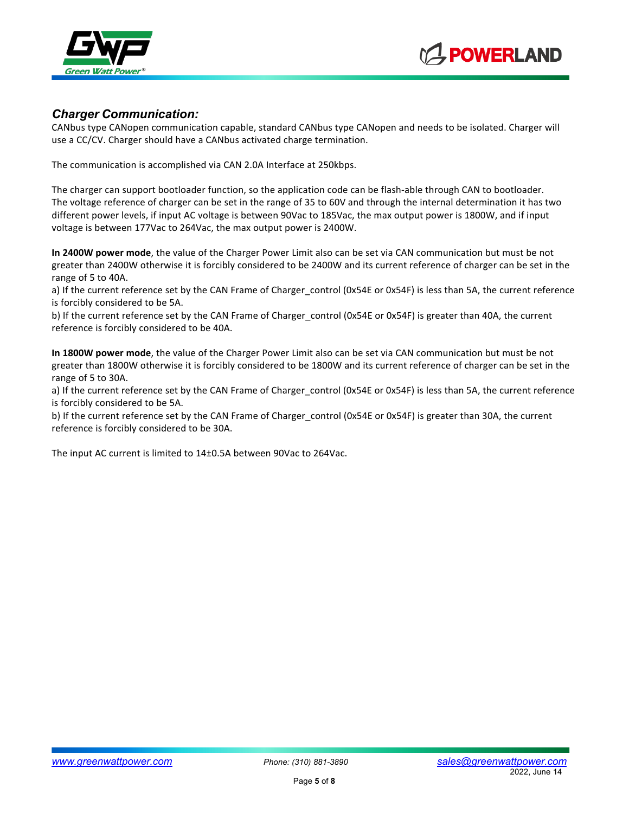



#### *Charger Communication:*

CANbus type CANopen communication capable, standard CANbus type CANopen and needs to be isolated. Charger will use a CC/CV. Charger should have a CANbus activated charge termination.

The communication is accomplished via CAN 2.0A Interface at 250kbps.

The charger can support bootloader function, so the application code can be flash-able through CAN to bootloader. The voltage reference of charger can be set in the range of 35 to 60V and through the internal determination it has two different power levels, if input AC voltage is between 90Vac to 185Vac, the max output power is 1800W, and if input voltage is between 177Vac to 264Vac, the max output power is 2400W.

**In 2400W power mode**, the value of the Charger Power Limit also can be set via CAN communication but must be not greater than 2400W otherwise it is forcibly considered to be 2400W and its current reference of charger can be set in the range of 5 to 40A.

a) If the current reference set by the CAN Frame of Charger control (0x54E or 0x54F) is less than 5A, the current reference is forcibly considered to be 5A.

b) If the current reference set by the CAN Frame of Charger\_control (0x54E or 0x54F) is greater than 40A, the current reference is forcibly considered to be 40A.

**In 1800W power mode**, the value of the Charger Power Limit also can be set via CAN communication but must be not greater than 1800W otherwise it is forcibly considered to be 1800W and its current reference of charger can be set in the range of 5 to 30A.

a) If the current reference set by the CAN Frame of Charger control (0x54E or 0x54F) is less than 5A, the current reference is forcibly considered to be 5A.

b) If the current reference set by the CAN Frame of Charger control (0x54E or 0x54F) is greater than 30A, the current reference is forcibly considered to be 30A.

The input AC current is limited to 14±0.5A between 90Vac to 264Vac.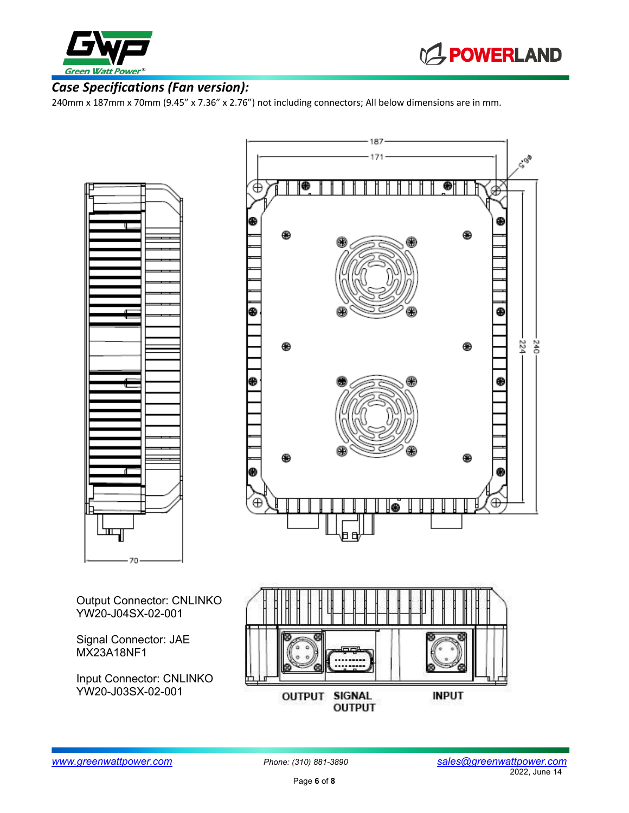



### *Case Specifications (Fan version):*

240mm x 187mm x 70mm (9.45" x 7.36" x 2.76") not including connectors; All below dimensions are in mm.





Output Connector: CNLINKO YW20-J04SX-02-001

Signal Connector: JAE MX23A18NF1

Input Connector: CNLINKO YW20-J03SX-02-001

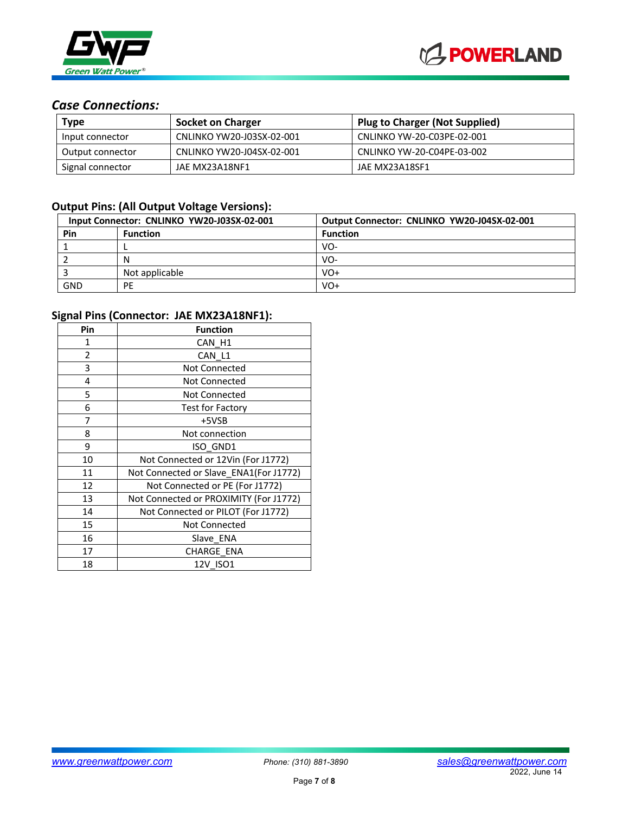

### *Case Connections:*

| Type             | <b>Socket on Charger</b>  | <b>Plug to Charger (Not Supplied)</b> |
|------------------|---------------------------|---------------------------------------|
| Input connector  | CNLINKO YW20-J03SX-02-001 | CNLINKO YW-20-C03PE-02-001            |
| Output connector | CNLINKO YW20-J04SX-02-001 | CNLINKO YW-20-C04PE-03-002            |
| Signal connector | JAE MX23A18NF1            | JAE MX23A18SF1                        |

#### **Output Pins: (All Output Voltage Versions):**

| Input Connector: CNLINKO YW20-J03SX-02-001 |                 | Output Connector: CNLINKO YW20-J04SX-02-001 |
|--------------------------------------------|-----------------|---------------------------------------------|
| Pin                                        | <b>Function</b> | <b>Function</b>                             |
|                                            |                 | VO-                                         |
|                                            | N               | VO-                                         |
|                                            | Not applicable  | VO+                                         |
| GND                                        | PE              | VO+                                         |

#### **Signal Pins (Connector: JAE MX23A18NF1):**

| Pin | <b>Function</b>                        |
|-----|----------------------------------------|
| 1   | CAN H1                                 |
| 2   | CAN L1                                 |
| 3   | <b>Not Connected</b>                   |
| 4   | <b>Not Connected</b>                   |
| 5   | Not Connected                          |
| 6   | <b>Test for Factory</b>                |
| 7   | +5VSB                                  |
| 8   | Not connection                         |
| 9   | ISO_GND1                               |
| 10  | Not Connected or 12Vin (For J1772)     |
| 11  | Not Connected or Slave_ENA1(For J1772) |
| 12  | Not Connected or PE (For J1772)        |
| 13  | Not Connected or PROXIMITY (For J1772) |
| 14  | Not Connected or PILOT (For J1772)     |
| 15  | <b>Not Connected</b>                   |
| 16  | Slave ENA                              |
| 17  | CHARGE_ENA                             |
| 18  | 12V ISO1                               |